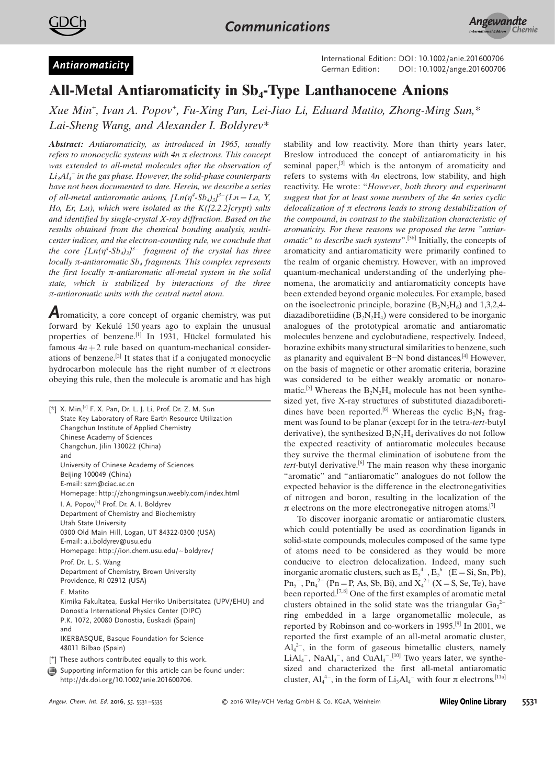



German Edition: DOI: 10.1002/anie.201600706<br>German Edition: DOI: [10.1002/ange.201600706](http://dx.doi.org/10.1002/ange.201600706)

## All-Metal Antiaromaticity in Sb<sub>4</sub>-Type Lanthanocene Anions

Xue Min<sup>+</sup> , Ivan A. Popov + , Fu-Xing Pan, Lei-Jiao Li, Eduard Matito, Zhong-Ming Sun,\* Lai-Sheng Wang, and Alexander I. Boldyrev\*

Abstract: Antiaromaticity, as introduced in 1965, usually refers to monocyclic systems with  $4n \pi$  electrons. This concept was extended to all-metal molecules after the observation of  $Li<sub>3</sub>Al<sub>4</sub><sup>-</sup>$  in the gas phase. However, the solid-phase counterparts have not been documented to date. Herein, we describe a series of all-metal antiaromatic anions,  $[Ln(\eta^4-Sb_4)_3]^{3-} (Ln = La, Y,$ Ho, Er, Lu), which were isolated as the  $K([2.2.2] \text{crypt})$  salts and identified by single-crystal  $X$ -ray diffraction. Based on the results obtained from the chemical bonding analysis, multicenter indices, and the electron-counting rule, we conclude that the core  $[Ln(\eta^4-Sb_4)_3]^{3-}$  fragment of the crystal has three locally  $\pi$ -antiaromatic  $Sb_4$  fragments. This complex represents the first locally  $\pi$ -antiaromatic all-metal system in the solid state, which is stabilized by interactions of the three  $\pi$ -antiaromatic units with the central metal atom.

Aromaticity, a core concept of organic chemistry, was put forward by Kekulé 150 years ago to explain the unusual properties of benzene.<sup>[1]</sup> In 1931, Hückel formulated his famous  $4n + 2$  rule based on quantum-mechanical considerations of benzene. [2] It states that if a conjugated monocyclic hydrocarbon molecule has the right number of  $\pi$  electrons obeying this rule, then the molecule is aromatic and has high

|  | [*] X. Min, [+] F. X. Pan, Dr. L. J. Li, Prof. Dr. Z. M. Sun<br>State Key Laboratory of Rare Earth Resource Utilization<br>Changchun Institute of Applied Chemistry<br>Chinese Academy of Sciences<br>Changchun, Jilin 130022 (China)<br>and<br>University of Chinese Academy of Sciences<br>Beijing 100049 (China)<br>E-mail: szm@ciac.ac.cn<br>Homepage: http://zhongmingsun.weebly.com/index.html<br>I. A. Popov, <sup>[+]</sup> Prof. Dr. A. I. Boldyrev<br>Department of Chemistry and Biochemistry<br>Utah State University<br>0300 Old Main Hill, Logan, UT 84322-0300 (USA) |
|--|-------------------------------------------------------------------------------------------------------------------------------------------------------------------------------------------------------------------------------------------------------------------------------------------------------------------------------------------------------------------------------------------------------------------------------------------------------------------------------------------------------------------------------------------------------------------------------------|
|  | E-mail: a.i.boldyrev@usu.edu<br>Homepage: http://ion.chem.usu.edu/~boldyrev/<br>Prof. Dr. L. S. Wang<br>Department of Chemistry, Brown University                                                                                                                                                                                                                                                                                                                                                                                                                                   |
|  | Providence, RI 02912 (USA)<br>E. Matito<br>Kimika Fakultatea, Euskal Herriko Unibertsitatea (UPV/EHU) and<br>Donostia International Physics Center (DIPC)<br>P.K. 1072, 20080 Donostia, Euskadi (Spain)<br>and<br>IKERBASQUE, Basque Foundation for Science<br>48011 Bilbao (Spain)                                                                                                                                                                                                                                                                                                 |
|  | [ <sup>+</sup> ] These authors contributed equally to this work.                                                                                                                                                                                                                                                                                                                                                                                                                                                                                                                    |

Supporting information for this article can be found under: [http://dx.doi.org/10.1002/anie.201600706.](http://dx.doi.org/10.1002/anie.201600706)

stability and low reactivity. More than thirty years later, Breslow introduced the concept of antiaromaticity in his seminal paper.<sup>[3]</sup> which is the antonym of aromaticity and refers to systems with 4n electrons, low stability, and high reactivity. He wrote: "However, both theory and experiment suggest that for at least some members of the 4n series cyclic delocalization of  $\pi$  electrons leads to strong destabilization of the compound, in contrast to the stabilization characteristic of aromaticity. For these reasons we proposed the term "antiar*omatic*" to describe such systems".<sup>[3b]</sup> Initially, the concepts of aromaticity and antiaromaticity were primarily confined to the realm of organic chemistry. However, with an improved quantum-mechanical understanding of the underlying phenomena, the aromaticity and antiaromaticity concepts have been extended beyond organic molecules. For example, based on the isoelectronic principle, borazine  $(B_3N_3H_6)$  and 1,3,2,4diazadiboretiidine  $(B_2N_2H_4)$  were considered to be inorganic analogues of the prototypical aromatic and antiaromatic molecules benzene and cyclobutadiene, respectively. Indeed, borazine exhibits many structural similarities to benzene, such as planarity and equivalent B-N bond distances. $[4]$  However, on the basis of magnetic or other aromatic criteria, borazine was considered to be either weakly aromatic or nonaromatic.<sup>[5]</sup> Whereas the  $B_2N_2H_4$  molecule has not been synthesized yet, five X-ray structures of substituted diazadiboretidines have been reported.<sup>[6]</sup> Whereas the cyclic  $B_2N_2$  fragment was found to be planar (except for in the tetra-tert-butyl derivative), the synthesized  $B_2N_2H_4$  derivatives do not follow the expected reactivity of antiaromatic molecules because they survive the thermal elimination of isobutene from the *tert*-butyl derivative.<sup>[6]</sup> The main reason why these inorganic "aromatic" and "antiaromatic" analogues do not follow the expected behavior is the difference in the electronegativities of nitrogen and boron, resulting in the localization of the  $\pi$  electrons on the more electronegative nitrogen atoms.<sup>[7]</sup>

To discover inorganic aromatic or antiaromatic clusters, which could potentially be used as coordination ligands in solid-state compounds, molecules composed of the same type of atoms need to be considered as they would be more conducive to electron delocalization. Indeed, many such inorganic aromatic clusters, such as  $E_5^{4-}$ ,  $E_5^{6-}$  (E = Si, Sn, Pb),  $\text{Pn}_5^-$ ,  $\text{Pn}_4^2$  (Pn = P, As, Sb, Bi), and  $\text{X}_4^2$  (X = S, Se, Te), have been reported.<sup>[7,8]</sup> One of the first examples of aromatic metal clusters obtained in the solid state was the triangular  $Ga_3^2$ ring embedded in a large organometallic molecule, as reported by Robinson and co-workers in 1995.[9] In 2001, we reported the first example of an all-metal aromatic cluster,  $\overline{Al_4}^{2-}$ , in the form of gaseous bimetallic clusters, namely  $LiAl<sub>4</sub>$ <sup>-</sup>, NaAl<sub>4</sub><sup>-</sup>, and CuAl<sub>4</sub><sup>-</sup>.<sup>[10]</sup> Two years later, we synthesized and characterized the first all-metal antiaromatic cluster,  $Al_4^{4-}$ , in the form of  $Li_3Al_4^-$  with four  $\pi$  electrons.<sup>[11a]</sup>

Angew. Chem. Int. Ed. 2016, 55, 5531 –5535 G 2016 Wiley-VCH Verlag GmbH & Co. KGaA, Weinheim **Wiley Online Library** 5531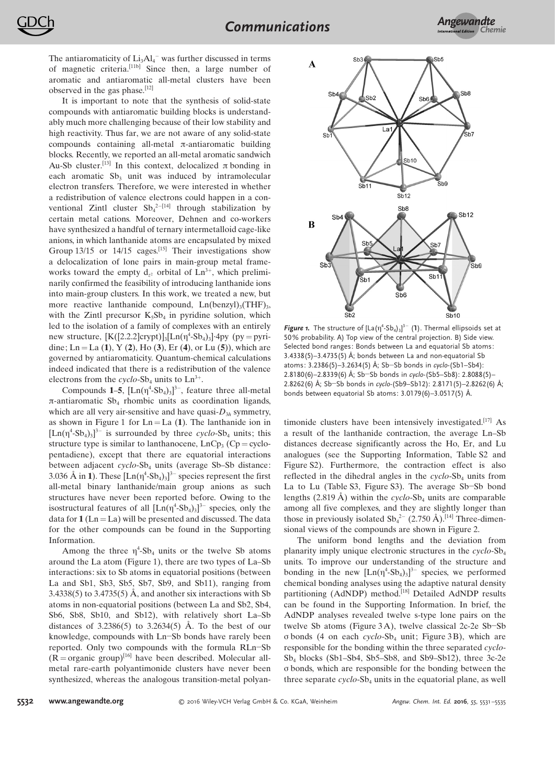The antiaromaticity of  $Li<sub>3</sub>Al<sub>4</sub><sup>-</sup>$  was further discussed in terms of magnetic criteria.<sup>[11b]</sup> Since then, a large number of aromatic and antiaromatic all-metal clusters have been observed in the gas phase. [12]

It is important to note that the synthesis of solid-state compounds with antiaromatic building blocks is understandably much more challenging because of their low stability and high reactivity. Thus far, we are not aware of any solid-state compounds containing all-metal  $\pi$ -antiaromatic building blocks. Recently, we reported an all-metal aromatic sandwich Au-Sb cluster.<sup>[13]</sup> In this context, delocalized  $\pi$  bonding in each aromatic  $Sb_3$  unit was induced by intramolecular electron transfers. Therefore, we were interested in whether a redistribution of valence electrons could happen in a conventional Zintl cluster  $\text{Sb}_4^{2-[14]}$  through stabilization by certain metal cations. Moreover, Dehnen and co-workers have synthesized a handful of ternary intermetalloid cage-like anions, in which lanthanide atoms are encapsulated by mixed Group 13/15 or 14/15 cages.<sup>[15]</sup> Their investigations show a delocalization of lone pairs in main-group metal frameworks toward the empty  $d_{z^2}$  orbital of  $Ln^{3+}$ , which preliminarily confirmed the feasibility of introducing lanthanide ions into main-group clusters. In this work, we treated a new, but more reactive lanthanide compound,  $Ln(benzyl)_{3}(THF)_{3}$ , with the Zintl precursor  $K_5Sb_4$  in pyridine solution, which led to the isolation of a family of complexes with an entirely new structure,  $[K([2.2.2]crypt)]_3[Ln(\eta^4-Sb_4)_3]$  4py (py = pyridine; Ln = La (1), Y (2), Ho (3), Er (4), or Lu (5)), which are governed by antiaromaticity. Quantum-chemical calculations indeed indicated that there is a redistribution of the valence electrons from the cyclo-Sb<sub>4</sub> units to  $Ln^{3+}$ .

Compounds 1–5,  $[Ln(\eta^4-Sb_4)_3]^{3-}$ , feature three all-metal  $\pi$ -antiaromatic Sb<sub>4</sub> rhombic units as coordination ligands, which are all very air-sensitive and have quasi- $D_{3h}$  symmetry, as shown in Figure 1 for  $Ln = La(1)$ . The lanthanide ion in  $[Ln(\eta^4-Sb_4)_3]^{3-}$  is surrounded by three cyclo-Sb<sub>4</sub> units; this structure type is similar to lanthanocene,  $LnCp_3$  (Cp = cyclopentadiene), except that there are equatorial interactions between adjacent  $cyclo-Sb<sub>4</sub>$  units (average Sb–Sb distance: 3.036 Å in 1). These  $[{\rm Ln}(\eta^4$ -Sb<sub>4</sub>)<sub>3</sub>]<sup>3-</sup> species represent the first all-metal binary lanthanide/main group anions as such structures have never been reported before. Owing to the isostructural features of all  $[Ln(\eta^4-Sb_4)_3]^{3-}$  species, only the data for  $1 (Ln = La)$  will be presented and discussed. The data for the other compounds can be found in the Supporting Information.

Among the three  $\eta^4$ -Sb<sub>4</sub> units or the twelve Sb atoms around the La atom (Figure 1), there are two types of La–Sb interactions: six to Sb atoms in equatorial positions (between La and Sb1, Sb3, Sb5, Sb7, Sb9, and Sb11), ranging from 3.4338(5) to 3.4735(5) Å, and another six interactions with Sb atoms in non-equatorial positions (between La and Sb2, Sb4, Sb6, Sb8, Sb10, and Sb12), with relatively short La–Sb distances of  $3.2386(5)$  to  $3.2634(5)$  Å. To the best of our knowledge, compounds with Ln-Sb bonds have rarely been reported. Only two compounds with the formula RLn-Sb  $(R = \text{organic group})^{[16]}$  have been described. Molecular allmetal rare-earth polyantimonide clusters have never been synthesized, whereas the analogous transition-metal polyan-



Figure 1. The structure of  $[La(\eta^4-Sb_4)_3]^3$ <sup>-</sup> (1). Thermal ellipsoids set at 50% probability. A) Top view of the central projection. B) Side view. Selected bond ranges: Bonds between La and equatorial Sb atoms:  $3.4338(5) - 3.4735(5)$  Å: bonds between La and non-equatorial Sb atoms:  $3.2386(5) - 3.2634(5)$  Å; Sb-Sb bonds in cyclo-(Sb1-Sb4):  $2.8180(6) - 2.8339(6)$  Å; Sb-Sb bonds in cyclo-(Sb5–Sb8): 2.8088(5)– 2.8262(6) Å; Sb-Sb bonds in cyclo-(Sb9-Sb12): 2.8171(5)-2.8262(6) Å; bonds between equatorial Sb atoms:  $3.0179(6) - 3.0517(5)$  Å.

timonide clusters have been intensively investigated.<sup>[17]</sup> As a result of the lanthanide contraction, the average Ln–Sb distances decrease significantly across the Ho, Er, and Lu analogues (see the Supporting Information, Table S2 and Figure S2). Furthermore, the contraction effect is also reflected in the dihedral angles in the  $cyclo-Sb<sub>4</sub>$  units from La to Lu (Table S3, Figure S3). The average Sb-Sb bond lengths (2.819 Å) within the cyclo-Sb<sub>4</sub> units are comparable among all five complexes, and they are slightly longer than those in previously isolated  $Sb_4^2$ <sup>-</sup> (2.750 Å).<sup>[14]</sup> Three-dimensional views of the compounds are shown in Figure 2.

The uniform bond lengths and the deviation from planarity imply unique electronic structures in the  $\alpha$  cyclo-Sb<sub>4</sub> units. To improve our understanding of the structure and bonding in the new  $[Ln(\eta^4-Sb_4)_3]^{3-}$  species, we performed chemical bonding analyses using the adaptive natural density partitioning (AdNDP) method.<sup>[18]</sup> Detailed AdNDP results can be found in the Supporting Information. In brief, the AdNDP analyses revealed twelve s-type lone pairs on the twelve Sb atoms (Figure  $3A$ ), twelve classical 2c-2e Sb-Sb  $\sigma$  bonds (4 on each cyclo-Sb<sub>4</sub> unit; Figure 3B), which are responsible for the bonding within the three separated cyclo- $Sb_4$  blocks (Sb1–Sb4, Sb5–Sb8, and Sb9–Sb12), three 3c-2e s bonds, which are responsible for the bonding between the three separate  $cyclo-Sb<sub>4</sub>$  units in the equatorial plane, as well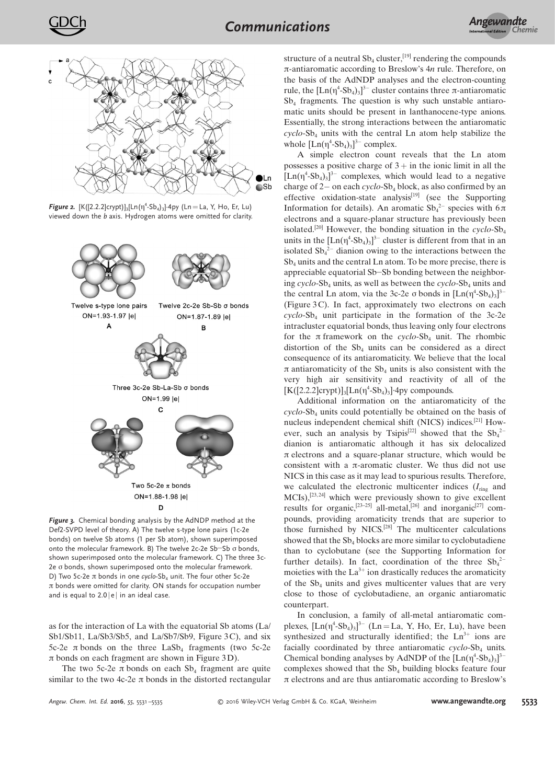

**Figure 2.** [K([2.2.2]crypt)]<sub>3</sub>[Ln( $\eta$ <sup>4</sup>-Sb<sub>4</sub>)<sub>3</sub>]·4py (Ln = La, Y, Ho, Er, Lu) viewed down the b axis. Hydrogen atoms were omitted for clarity.



Figure 3. Chemical bonding analysis by the AdNDP method at the Def2-SVPD level of theory. A) The twelve s-type lone pairs (1c-2e bonds) on twelve Sb atoms (1 per Sb atom), shown superimposed onto the molecular framework. B) The twelve 2c-2e Sb-Sb  $\sigma$  bonds, shown superimposed onto the molecular framework. C) The three 3c- $2e \sigma$  bonds, shown superimposed onto the molecular framework. D) Two 5c-2e  $\pi$  bonds in one cyclo-Sb<sub>4</sub> unit. The four other 5c-2e  $\pi$  bonds were omitted for clarity. ON stands for occupation number and is equal to  $2.0 \, |e|$  in an ideal case.

as for the interaction of La with the equatorial Sb atoms (La/ Sb1/Sb11, La/Sb3/Sb5, and La/Sb7/Sb9, Figure 3C), and six  $5c-2e$   $\pi$  bonds on the three LaSb<sub>4</sub> fragments (two  $5c-2e$  $\pi$  bonds on each fragment are shown in Figure 3D).

The two 5c-2e  $\pi$  bonds on each Sb<sub>4</sub> fragment are quite similar to the two 4c-2e  $\pi$  bonds in the distorted rectangular

structure of a neutral  $Sb_4$  cluster,<sup>[19]</sup> rendering the compounds  $\pi$ -antiaromatic according to Breslow's  $4n$  rule. Therefore, on the basis of the AdNDP analyses and the electron-counting rule, the  $[Ln(\eta^4-Sb_4)_3]^{3-}$  cluster contains three  $\pi$ -antiaromatic Sb<sup>4</sup> fragments. The question is why such unstable antiaromatic units should be present in lanthanocene-type anions. Essentially, the strong interactions between the antiaromatic  $\alpha$ cyclo-Sb<sub>4</sub> units with the central Ln atom help stabilize the whole  $[Ln(\eta^4-Sb_4)_3]^{3-}$  complex.

A simple electron count reveals that the Ln atom possesses a positive charge of  $3 +$  in the ionic limit in all the  $[Ln(\eta^4-Sb_4)_3]^{3-}$  complexes, which would lead to a negative charge of  $2-$  on each cyclo-Sb<sub>4</sub> block, as also confirmed by an effective oxidation-state analysis $[19]$  (see the Supporting Information for details). An aromatic  $\text{Sb}_4^2$  species with  $6\pi$ electrons and a square-planar structure has previously been isolated.<sup>[20]</sup> However, the bonding situation in the  $\ncyclo-Sb_4$ units in the  $[Ln(\eta^4-Sb_4)_3]^{3-}$  cluster is different from that in an isolated  $\text{Sb}_4^2$ <sup>-</sup> dianion owing to the interactions between the  $Sb_4$  units and the central Ln atom. To be more precise, there is appreciable equatorial Sb–Sb bonding between the neighboring  $\alpha$ yclo-Sb<sub>4</sub> units, as well as between the  $\alpha$ yclo-Sb<sub>4</sub> units and the central Ln atom, via the 3c-2e  $\sigma$  bonds in  $[Ln(\eta^4-Sb_4)_3]^{3-}$ (Figure 3C). In fact, approximately two electrons on each  $cyclo-Sb<sub>4</sub>$  unit participate in the formation of the 3c-2e intracluster equatorial bonds, thus leaving only four electrons for the  $\pi$  framework on the cyclo-Sb<sub>4</sub> unit. The rhombic distortion of the  $Sb_4$  units can be considered as a direct consequence of its antiaromaticity. We believe that the local  $\pi$  antiaromaticity of the Sb<sub>4</sub> units is also consistent with the very high air sensitivity and reactivity of all of the  $[K([2.2.2]crypt)]_3[Ln(\eta^4-Sb_4)_3]$ ·4py compounds.

Additional information on the antiaromaticity of the cyclo-Sb<sup>4</sup> units could potentially be obtained on the basis of nucleus independent chemical shift (NICS) indices. [21] However, such an analysis by Tsipis<sup>[22]</sup> showed that the  $\text{Sb}_4^2$ dianion is antiaromatic although it has six delocalized  $\pi$  electrons and a square-planar structure, which would be consistent with a  $\pi$ -aromatic cluster. We thus did not use NICS in this case as it may lead to spurious results. Therefore, we calculated the electronic multicenter indices  $(I<sub>ring</sub>$  and MCIs),[23, 24] which were previously shown to give excellent results for organic,<sup>[23–25]</sup> all-metal,<sup>[26]</sup> and inorganic<sup>[27]</sup> compounds, providing aromaticity trends that are superior to those furnished by NICS.<sup>[28]</sup> The multicenter calculations showed that the  $Sb_4$  blocks are more similar to cyclobutadiene than to cyclobutane (see the Supporting Information for further details). In fact, coordination of the three  $\text{Sb}_4^2$ moieties with the  $La^{3+}$  ion drastically reduces the aromaticity of the  $Sb_4$  units and gives multicenter values that are very close to those of cyclobutadiene, an organic antiaromatic counterpart.

In conclusion, a family of all-metal antiaromatic complexes,  $[Ln(\eta^4-Sb_4)_3]^{3-}$  (Ln = La, Y, Ho, Er, Lu), have been synthesized and structurally identified; the  $Ln<sup>3+</sup>$  ions are facially coordinated by three antiaromatic  $cyclo-Sb<sub>4</sub>$  units. Chemical bonding analyses by AdNDP of the  $[Ln(\eta^4-Sb_4)_3]^{3-}$ complexes showed that the  $Sb_4$  building blocks feature four  $\pi$  electrons and are thus antiaromatic according to Breslow's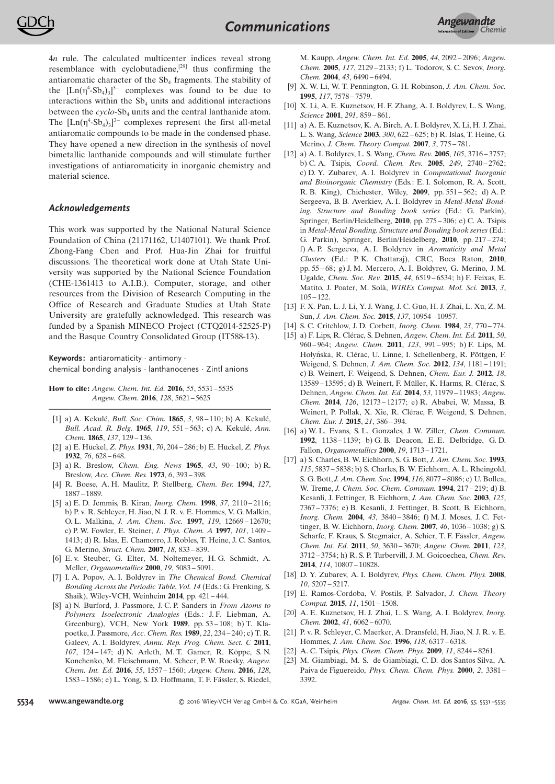4n rule. The calculated multicenter indices reveal strong resemblance with cyclobutadiene.<sup>[29]</sup> thus confirming the antiaromatic character of the  $Sb<sub>4</sub>$  fragments. The stability of the  $[Ln(\eta^4-Sb_4)_3]^3$  complexes was found to be due to interactions within the  $Sb_4$  units and additional interactions between the cyclo-Sb<sub>4</sub> units and the central lanthanide atom. The  $[Ln(\eta^4-Sb_4)_3]^{3-}$  complexes represent the first all-metal antiaromatic compounds to be made in the condensed phase. They have opened a new direction in the synthesis of novel bimetallic lanthanide compounds and will stimulate further investigations of antiaromaticity in inorganic chemistry and material science.

## Acknowledgements

This work was supported by the National Natural Science Foundation of China (21171162, U1407101). We thank Prof. Zhong-Fang Chen and Prof. Hua-Jin Zhai for fruitful discussions. The theoretical work done at Utah State University was supported by the National Science Foundation (CHE-1361413 to A.I.B.). Computer, storage, and other resources from the Division of Research Computing in the Office of Research and Graduate Studies at Utah State University are gratefully acknowledged. This research was funded by a Spanish MINECO Project (CTQ2014-52525-P) and the Basque Country Consolidated Group (IT588-13).

Keywords: antiaromaticity · antimony · chemical bonding analysis · lanthanocenes · Zintl anions

How to cite: Angew. Chem. Int. Ed. 2016, 55, 5531-5535 Angew. Chem. 2016, 128, 5621– 5625

- [1] a) A. Kekulé, *Bull. Soc. Chim.* **1865**, 3, 98-110; b) A. Kekulé, Bull. Acad. R. Belg. 1965, 119, 551-563; c) A. Kekulé, Ann. Chem. **1865**, 137, 129-136.
- [2] a) E. Hîckel, Z. Phys. 1931, 70, 204 286; b) E. Hîckel, Z. Phys. 1932, 76, 628 – 648.
- [3] a) R. Breslow, [Chem.](http://dx.doi.org/10.1021/cen-v043n026.p090) Eng. News 1965, 43, 90 100; b) R. Breslow, [Acc. Chem.](http://dx.doi.org/10.1021/ar50072a001) Res. 1973, 6, 393 – 398.
- [4] R. Boese, A. H. Maulitz, P. Stellberg, [Chem.](http://dx.doi.org/10.1002/cber.19941271011) Ber. 1994, 127, 1887 [– 1889](http://dx.doi.org/10.1002/cber.19941271011).
- [5] a) E. D. Jemmis, B. Kiran, [Inorg. Chem.](http://dx.doi.org/10.1021/ic970737y) 1998, 37, 2110 2116; b) P. v. R. Schleyer, H. Jiao, N. J. R. v. E. Hommes, V. G. Malkin, O. L. Malkina, J. Am. Chem. Soc. 1997, 119[, 12669](http://dx.doi.org/10.1021/ja9719135) – 12670; c) P. W. Fowler, E. Steiner, J. [Phys. Chem.](http://dx.doi.org/10.1021/jp9637946) A 1997, 101, 1409 – [1413](http://dx.doi.org/10.1021/jp9637946); d) R. Islas, E. Chamorro, J. Robles, T. Heine, J. C. Santos, G. Merino, Struct. [Chem.](http://dx.doi.org/10.1007/s11224-007-9229-z) 2007, 18, 833 – 839.
- [6] E. v. Steuber, G. Elter, M. Noltemeyer, H. G. Schmidt, A. Meller, [Organometallics](http://dx.doi.org/10.1021/om0005912) 2000, 19, 5083 – 5091.
- [7] I. A. Popov, A. I. Boldyrev in The Chemical Bond. Chemical Bonding Across the Periodic Table, Vol. 14 (Eds.: G. Frenking, S. Shaik), Wiley-VCH, Weinheim 2014, pp. 421 – 444.
- [8] a) N. Burford, J. Passmore, J. C. P. Sanders in From Atoms to Polymers. Isoelectronic Analogies (Eds.: J. F. Liebman, A. Greenburg), VCH, New York 1989, pp. 53 – 108; b) T. Klapoetke, J. Passmore, Acc. [Chem.](http://dx.doi.org/10.1021/ar00163a002) Res. 1989, 22, 234 – 240; c) T. R. Galeev, A. I. Boldyrev, Annu. [Rep. Prog. Chem.](http://dx.doi.org/10.1039/c1pc90004h) Sect. C 2011, 107[, 124](http://dx.doi.org/10.1039/c1pc90004h) – 147; d) N. Arleth, M. T. Gamer, R. Köppe, S. N. Konchenko, M. Fleischmann, M. Scheer, P. W. Roesky, [Angew.](http://dx.doi.org/10.1002/anie.201509749) [Chem.](http://dx.doi.org/10.1002/anie.201509749) Int. Ed. 2016, 55, 1557 – 1560; [Angew. Chem.](http://dx.doi.org/10.1002/ange.201509749) 2016, 128, 1583 [– 1586](http://dx.doi.org/10.1002/ange.201509749); e) L. Yong, S. D. Hoffmann, T. F. Fässler, S. Riedel,

M. Kaupp, [Angew. Chem.](http://dx.doi.org/10.1002/anie.200462342) Int. Ed. 2005, 44, 2092 – 2096; [Angew.](http://dx.doi.org/10.1002/ange.200462342) [Chem.](http://dx.doi.org/10.1002/ange.200462342) 2005, 117, 2129 – 2133; f) L. Todorov, S. C. Sevov, [Inorg.](http://dx.doi.org/10.1021/ic0491837) [Chem.](http://dx.doi.org/10.1021/ic0491837) 2004, 43, 6490-6494.

- [9] X. W. Li, W. T. Pennington, G. H. Robinson, J. Am. [Chem.](http://dx.doi.org/10.1021/ja00133a045) Soc. 1995, 117, 7578 [– 7579](http://dx.doi.org/10.1021/ja00133a045).
- [10] X. Li, A. E. Kuznetsov, H. F. Zhang, A. I. Boldyrev, L. S. Wang, [Science](http://dx.doi.org/10.1126/science.291.5505.859) 2001, 291, 859 – 861.
- [11] a) A. E. Kuznetsov, K. A. Birch, A. I. Boldyrev, X. Li, H. J. Zhai, L. S. Wang, [Science](http://dx.doi.org/10.1126/science.1082477) 2003, 300, 622 – 625; b) R. Islas, T. Heine, G. Merino, J. Chem. Theory [Comput.](http://dx.doi.org/10.1021/ct700009k) 2007, 3, 775 – 781.
- [12] a) A. I. Boldyrev, L. S. Wang, [Chem.](http://dx.doi.org/10.1021/cr030091t) Rev. 2005, 105, 3716 3757; b) C. A. Tsipis, [Coord.](http://dx.doi.org/10.1016/j.ccr.2005.01.031) Chem. Rev. 2005, 249, 2740 – 2762; c) D. Y. Zubarev, A. I. Boldyrev in Computational Inorganic and Bioinorganic Chemistry (Eds.: E. I. Solomon, R. A. Scott, R. B. King), Chichester, Wiley, 2009, pp. 551 – 562; d) A. P. Sergeeva, B. B. Averkiev, A. I. Boldyrev in Metal-Metal Bonding. Structure and Bonding book series (Ed.: G. Parkin), Springer, Berlin/Heidelberg, 2010, pp. 275 – 306; e) C. A. Tsipis in Metal-Metal Bonding. Structure and Bonding book series (Ed.: G. Parkin), Springer, Berlin/Heidelberg, 2010, pp. 217 – 274; f) A. P. Sergeeva, A. I. Boldyrev in Aromaticity and Metal Clusters (Ed.: P. K. Chattaraj), CRC, Boca Raton, 2010, pp. 55 – 68; g) J. M. Mercero, A. I. Boldyrev, G. Merino, J. M. Ugalde, Chem. [Soc. Rev.](http://dx.doi.org/10.1039/C5CS00341E) 2015, 44, 6519 – 6534; h) F. Feixas, E. Matito, J. Poater, M. Solà, WIREs [Comput.](http://dx.doi.org/10.1002/wcms.1115) Mol. Sci. 2013, 3,  $105 - 122.$
- [13] F. X. Pan, L. J. Li, Y. J. Wang, J. C. Guo, H. J. Zhai, L. Xu, Z. M. Sun, J. Am. Chem. Soc. 2015, 137, 10954 [– 10957](http://dx.doi.org/10.1021/jacs.5b07730).
- [14] S. C. Critchlow, J. D. Corbett, *[Inorg. Chem.](http://dx.doi.org/10.1021/ic00174a026)* **1984**, 23, 770-774.
- [15] a) F. Lips, R. Clérac, S. Dehnen, [Angew. Chem.](http://dx.doi.org/10.1002/anie.201005655) Int. Ed. 2011, 50, 960 [– 964](http://dx.doi.org/10.1002/anie.201005655); [Angew. Chem.](http://dx.doi.org/10.1002/ange.201005655) 2011, 123, 991 – 995; b) F. Lips, M. Hołyńska, R. Clérac, U. Linne, I. Schellenberg, R. Pöttgen, F. Weigend, S. Dehnen, J. Am. [Chem.](http://dx.doi.org/10.1021/ja209226b) Soc. 2012, 134, 1181-1191; c) B. Weinert, F. Weigend, S. Dehnen, Chem. [Eur. J.](http://dx.doi.org/10.1002/chem.201202369) 2012, 18, 13589 [– 13595](http://dx.doi.org/10.1002/chem.201202369); d) B. Weinert, F. Müller, K. Harms, R. Clérac, S. Dehnen, [Angew. Chem.](http://dx.doi.org/10.1002/anie.201407288) Int. Ed. 2014, 53, 11979 – 11983; [Angew.](http://dx.doi.org/10.1002/ange.201407288) Chem. 2014, 126[, 12173](http://dx.doi.org/10.1002/ange.201407288) – 12177; e) R. Ababei, W. Massa, B. Weinert, P. Pollak, X. Xie, R. Clérac, F. Weigend, S. Dehnen, [Chem.](http://dx.doi.org/10.1002/chem.201404904) Eur. J. 2015, 21, 386 – 394.
- [16] a) W. L. Evans, S. L. Gonzales, J. W. Ziller, Chem. [Commun.](http://dx.doi.org/10.1039/c39920001138) 1992[, 1138](http://dx.doi.org/10.1039/c39920001138) – 1139; b) G. B. Deacon, E. E. Delbridge, G. D. Fallon, [Organometallics](http://dx.doi.org/10.1021/om990932f) 2000, 19, 1713 – 1721.
- [17] a) S. Charles, B. W. Eichhorn, S. G. Bott, J. Am. [Chem.](http://dx.doi.org/10.1021/ja00066a067) Soc. 1993, 115, 5837 [– 5838](http://dx.doi.org/10.1021/ja00066a067); b) S. Charles, B. W. Eichhorn, A. L. Rheingold, S. G. Bott, J. Am. [Chem.](http://dx.doi.org/10.1021/ja00097a014) Soc. 1994, 116, 8077 – 8086; c) U. Bollea, W. Treme, J. Chem. [Soc. Chem.](http://dx.doi.org/10.1039/C39940000217) Commun. 1994, 217 – 219; d) B. Kesanli, J. Fettinger, B. Eichhorn, J. Am. [Chem.](http://dx.doi.org/10.1021/ja034207e) Soc. 2003, 125, 7367 [– 7376](http://dx.doi.org/10.1021/ja034207e); e) B. Kesanli, J. Fettinger, B. Scott, B. Eichhorn, [Inorg. Chem.](http://dx.doi.org/10.1021/ic035397x) 2004, 43, 3840 – 3846; f) M. J. Moses, J. C. Fettinger, B. W. Eichhorn, [Inorg. Chem.](http://dx.doi.org/10.1021/ic0616535) 2007, 46, 1036 – 1038; g) S. Scharfe, F. Kraus, S. Stegmaier, A. Schier, T. F. Fässler, [Angew.](http://dx.doi.org/10.1002/anie.201001630) [Chem.](http://dx.doi.org/10.1002/anie.201001630) Int. Ed. 2011, 50, 3630 – 3670; [Angew. Chem.](http://dx.doi.org/10.1002/ange.201001630) 2011, 123, 3712 [– 3754](http://dx.doi.org/10.1002/ange.201001630); h) R. S. P. Turbervill, J. M. Goicoechea, [Chem.](http://dx.doi.org/10.1021/cr500387w) Rev. 2014, 114, 10807 [– 10828](http://dx.doi.org/10.1021/cr500387w).
- [18] D. Y. Zubarev, A. I. Boldyrev, [Phys. Chem.](http://dx.doi.org/10.1039/b804083d) Chem. Phys. 2008, 10, 5207 [– 5217](http://dx.doi.org/10.1039/b804083d).
- [19] E. Ramos-Cordoba, V. Postils, P. Salvador, J. Chem. [Theory](http://dx.doi.org/10.1021/ct501088v) [Comput.](http://dx.doi.org/10.1021/ct501088v) 2015, 11, 1501 – 1508.
- [20] A. E. Kuznetsov, H. J. Zhai, L. S. Wang, A. I. Boldyrev, [Inorg.](http://dx.doi.org/10.1021/ic020426+) [Chem.](http://dx.doi.org/10.1021/ic020426+) 2002, 41, 6062 – 6070.
- [21] P. v. R. Schleyer, C. Maerker, A. Dransfeld, H. Jiao, N. J. R. v. E. Hommes, J. Am. [Chem.](http://dx.doi.org/10.1021/ja960582d) Soc. 1996, 118, 6317-6318.
- [22] A. C. Tsipis, *[Phys. Chem.](http://dx.doi.org/10.1039/b903677f) Chem. Phys.* **2009**, 11, 8244 8261.
- [23] M. Giambiagi, M. S. de Giambiagi, C. D. dos Santos Silva, A. Paiva de Figuereido, [Phys. Chem.](http://dx.doi.org/10.1039/b002009p) Chem. Phys. 2000, 2, 3381 – [3392](http://dx.doi.org/10.1039/b002009p).